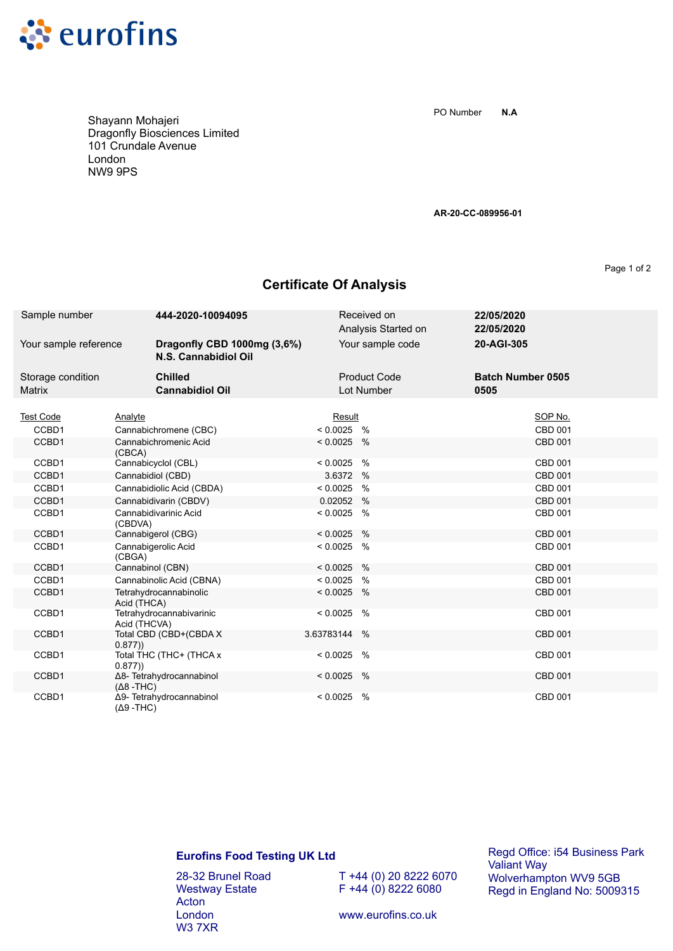

Shayann Mohajeri Dragonfly Biosciences Limited 101 Crundale Avenue London NW9 9PS

**N.A** PO Number

**AR-20-CC-089956-01**

Page 1 of 2

## **Certificate Of Analysis**

| Sample number                      | 444-2020-10094095                                   |              | Received on<br>Analysis Started on | 22/05/2020<br>22/05/2020         |  |
|------------------------------------|-----------------------------------------------------|--------------|------------------------------------|----------------------------------|--|
| Your sample reference              | Dragonfly CBD 1000mg (3,6%)<br>N.S. Cannabidiol Oil |              | Your sample code                   | 20-AGI-305                       |  |
| Storage condition<br><b>Matrix</b> | <b>Chilled</b><br><b>Cannabidiol Oil</b>            |              | <b>Product Code</b><br>Lot Number  | <b>Batch Number 0505</b><br>0505 |  |
|                                    |                                                     |              |                                    |                                  |  |
| <b>Test Code</b>                   | Analyte                                             | Result       |                                    | SOP No.                          |  |
| CCBD1                              | Cannabichromene (CBC)                               | $< 0.0025$ % |                                    | <b>CBD 001</b>                   |  |
| CCBD1                              | Cannabichromenic Acid<br>(CBCA)                     | $< 0.0025$ % |                                    | <b>CBD 001</b>                   |  |
| CCBD1                              | Cannabicyclol (CBL)                                 | < 0.0025     | %                                  | <b>CBD 001</b>                   |  |
| CCBD1                              | Cannabidiol (CBD)                                   | 3.6372       | $\%$                               | <b>CBD 001</b>                   |  |
| CCBD1                              | Cannabidiolic Acid (CBDA)                           | < 0.0025     | $\frac{0}{0}$                      | <b>CBD 001</b>                   |  |
| CCBD1                              | Cannabidivarin (CBDV)                               | 0.02052      | $\%$                               | <b>CBD 001</b>                   |  |
| CCBD1                              | Cannabidivarinic Acid<br>(CBDVA)                    | < 0.0025     | %                                  | CBD 001                          |  |
| CCBD1                              | Cannabigerol (CBG)                                  | < 0.0025     | $\%$                               | <b>CBD 001</b>                   |  |
| CCBD1                              | Cannabigerolic Acid<br>(CBGA)                       | < 0.0025     | $\%$                               | CBD 001                          |  |
| CCBD1                              | Cannabinol (CBN)                                    | < 0.0025     | $\frac{0}{0}$                      | <b>CBD 001</b>                   |  |
| CCBD1                              | Cannabinolic Acid (CBNA)                            | < 0.0025     | $\frac{0}{0}$                      | <b>CBD 001</b>                   |  |
| CCBD1                              | Tetrahydrocannabinolic<br>Acid (THCA)               | < 0.0025     | %                                  | CBD 001                          |  |
| CCBD1                              | Tetrahydrocannabivarinic<br>Acid (THCVA)            | < 0.0025     | $\frac{0}{0}$                      | CBD 001                          |  |
| CCBD1                              | Total CBD (CBD+(CBDA X<br>0.877)                    | 3.63783144   | $\%$                               | <b>CBD 001</b>                   |  |
| CCBD1                              | Total THC (THC+ (THCA x<br>0.877)                   | < 0.0025     | %                                  | CBD 001                          |  |
| CCBD1                              | Δ8- Tetrahydrocannabinol<br>$(Δ8 - THC)$            | < 0.0025     | $\%$                               | CBD 001                          |  |
| CCBD1                              | Δ9- Tetrahydrocannabinol<br>$(Δ9 - THC)$            | < 0.0025     | $\%$                               | CBD 001                          |  |

## **Eurofins Food Testing UK Ltd**

28-32 Brunel Road Westway Estate Acton London W3 7XR

T +44 (0) 20 8222 6070  $F + 44 (0) 8222 6080$ 

Regd Office: i54 Business Park Valiant Way Wolverhampton WV9 5GB Regd in England No: 5009315